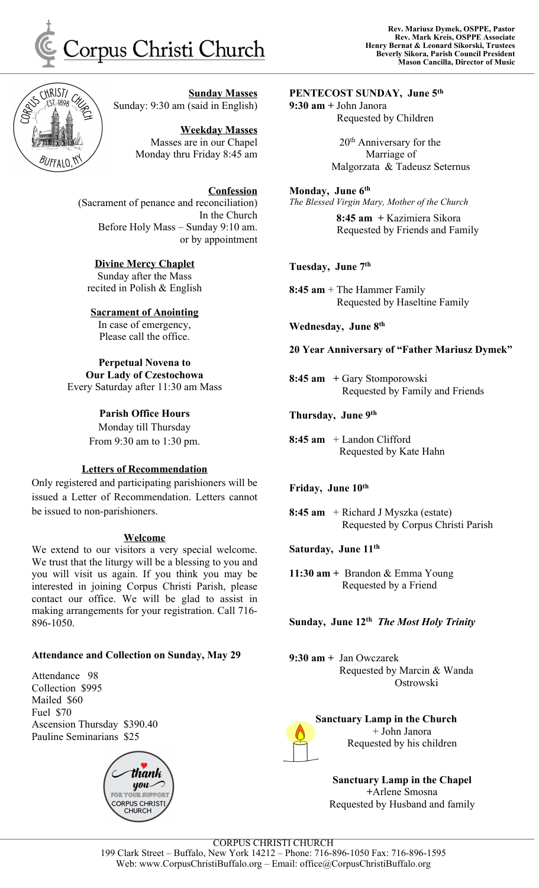



**Sunday Masses** Sunday: 9:30 am (said in English)

> **Weekday Masses** Masses are in our Chapel Monday thru Friday 8:45 am

**Confession** (Sacrament of penance and reconciliation) In the Church Before Holy Mass – Sunday 9:10 am. or by appointment

**Divine Mercy Chaplet** Sunday after the Mass recited in Polish & English

**Sacrament of Anointing** In case of emergency, Please call the office.

**Perpetual Novena to Our Lady of Czestochowa** Every Saturday after 11:30 am Mass

> **Parish Office Hours** Monday till Thursday From 9:30 am to 1:30 pm.

#### **Letters of Recommendation**

Only registered and participating parishioners will be issued a Letter of Recommendation. Letters cannot be issued to non-parishioners.

#### **Welcome**

We extend to our visitors a very special welcome. We trust that the liturgy will be a blessing to you and you will visit us again. If you think you may be interested in joining Corpus Christi Parish, please contact our office. We will be glad to assist in making arrangements for your registration. Call 716- 896-1050.

## **Attendance and Collection on Sunday, May 29**

Attendance 98 Collection \$995 Mailed \$60 Fuel \$70 Ascension Thursday \$390.40 Pauline Seminarians \$25



**PENTECOST SUNDAY, June 5 th 9:30 am +** John Janora Requested by Children

> 20<sup>th</sup> Anniversary for the Marriage of Malgorzata & Tadeusz Seternus

**Monday, June 6 th**

*The Blessed Virgin Mary, Mother of the Church* **8:45 am +** Kazimiera Sikora Requested by Friends and Family

**Tuesday, June 7 th**

**8:45 am** + The Hammer Family Requested by Haseltine Family

**Wednesday, June 8 th**

**20 Year Anniversary of "Father Mariusz Dymek"**

**8:45 am +** Gary Stomporowski Requested by Family and Friends

**Thursday, June 9 th**

**8:45 am** + Landon Clifford Requested by Kate Hahn

**Friday, June 10 th**

**8:45 am** + Richard J Myszka (estate) Requested by Corpus Christi Parish

**Saturday, June 11 th**

**11:30 am +** Brandon & Emma Young Requested by a Friend

**Sunday, June 12 th** *The Most Holy Trinity*

**9:30 am +** Jan Owczarek Requested by Marcin & Wanda Ostrowski



**[S](http://www.google.pl/url?sa=i&rct=j&q=&esrc=s&source=images&cd=&cad=rja&uact=8&ved=0CAcQjRw&url=http://pixshark.com/candle-clip-art-png.htm&ei=q15uVbmZIcrBtQWk5YKgDg&bvm=bv.94911696,d.b2w&psig=AFQjCNGMyCMkY_8LtGbFpD6nL5CcGPK-fw&ust=1433382795215802)anctuary Lamp in the Church** + John Janora Requested by his children

**Sanctuary Lamp in the Chapel +**Arlene Smosna Requested by Husband and family

CORPUS CHRISTI CHURCH